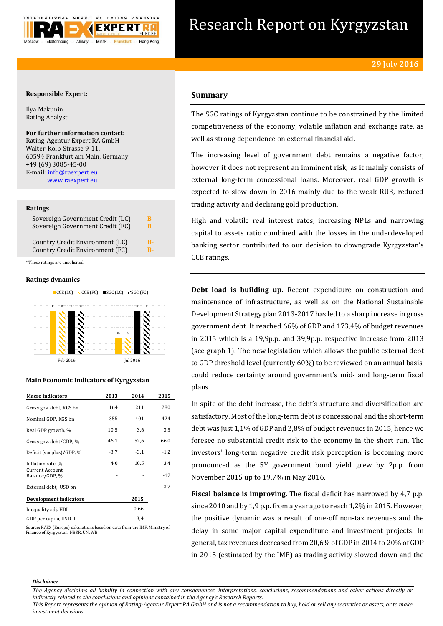

# Research Report on Kyrgyzstan

# **Responsible Expert:**

Ilya Makunin Rating Analyst

# **For further information contact:** Rating-Agentur Expert RA GmbH Walter-Kolb-Strasse 9-11, 60594 Frankfurt am Main, Germany

+49 (69) 3085-45-00 E-mail[: info@raexpert.eu](mailto:info@raexpert.eu) [www.raexpert.eu](http://raexpert.eu/)

### **Ratings**

| Sovereign Government Credit (LC)                                   | к |
|--------------------------------------------------------------------|---|
| Sovereign Government Credit (FC)                                   | R |
| Country Credit Environment (LC)<br>Country Credit Environment (FC) |   |

\* These ratings are unsolicited

# **Ratings dynamics**



# **Main Economic Indicators of Kyrgyzstan**

| <b>Macro indicators</b>                  | 2013   | 2014   | 2015   |
|------------------------------------------|--------|--------|--------|
| Gross gov. debt, KGS bn                  | 164    | 211    | 280    |
| Nominal GDP, KGS bn                      | 355    | 401    | 424    |
| Real GDP growth, %                       | 10,5   | 3,6    | 3,5    |
| Gross gov. debt/GDP, %                   | 46,1   | 52,6   | 66,0   |
| Deficit (surplus)/GDP, %                 | $-3,7$ | $-3,1$ | $-1,2$ |
| Inflation rate, %                        | 4,0    | 10,5   | 3,4    |
| <b>Current Account</b><br>Balance/GDP, % |        |        | $-17$  |
| External debt, USD bn                    |        |        | 3,7    |
| Development indicators                   |        | 2015   |        |
| Inequality adj. HDI                      |        | 0,66   |        |
| GDP per capita, USD th                   |        | 3.4    |        |

Source: RAEX (Europe) calculations based on data from the IMF, Ministry of Finance of Kyrgyzstan, NBKR, UN, WB

# **Summary**

The SGC ratings of Kyrgyzstan continue to be constrained by the limited competitiveness of the economy, volatile inflation and exchange rate, as well as strong dependence on external financial aid.

The increasing level of government debt remains a negative factor, however it does not represent an imminent risk, as it mainly consists of external long-term concessional loans. Moreover, real GDP growth is expected to slow down in 2016 mainly due to the weak RUB, reduced trading activity and declining gold production.

High and volatile real interest rates, increasing NPLs and narrowing capital to assets ratio combined with the losses in the underdeveloped banking sector contributed to our decision to downgrade Kyrgyzstan's CCE ratings.

**Debt load is building up.** Recent expenditure on construction and maintenance of infrastructure, as well as on the National Sustainable Development Strategy plan 2013-2017 has led to a sharp increase in gross government debt. It reached 66% of GDP and 173,4% of budget revenues in 2015 which is a 19,9p.p. and 39,9p.p. respective increase from 2013 (see graph 1). The new legislation which allows the public external debt to GDP threshold level (currently 60%) to be reviewed on an annual basis, could reduce certainty around government's mid- and long-term fiscal plans.

In spite of the debt increase, the debt's structure and diversification are satisfactory. Most of the long-term debt is concessional and the short-term debt was just 1,1% of GDP and 2,8% of budget revenues in 2015, hence we foresee no substantial credit risk to the economy in the short run. The investors' long-term negative credit risk perception is becoming more pronounced as the 5Y government bond yield grew by 2p.p. from November 2015 up to 19,7% in May 2016.

**Fiscal balance is improving.** The fiscal deficit has narrowed by 4,7 p.p. since 2010 and by 1,9 p.p. from a year ago to reach 1,2% in 2015. However, the positive dynamic was a result of one-off non-tax revenues and the delay in some major capital expenditure and investment projects. In general, tax revenues decreased from 20,6% of GDP in 2014 to 20% of GDP in 2015 (estimated by the IMF) as trading activity slowed down and the

#### *Disclaimer*

*The Agency disclaims all liability in connection with any consequences, interpretations, conclusions, recommendations and other actions directly or indirectly related to the conclusions and opinions contained in the Agency's Research Reports.*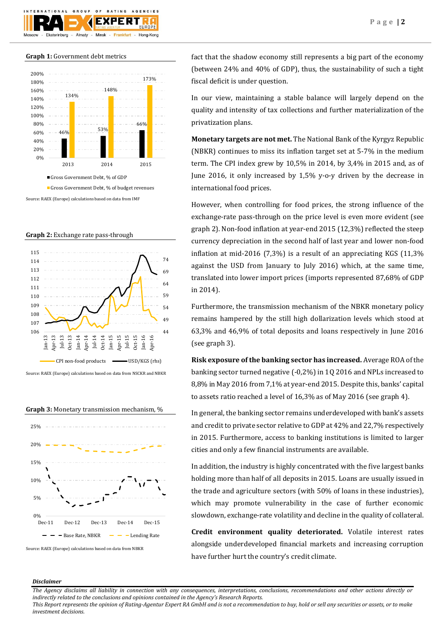

# **Graph 1:** Government debt metrics



Source: RAEX (Europe) calculations based on data from IMF

**Graph 2:** Exchange rate pass-through



Source: RAEX (Europe) calculations based on data from NSCKR and NBKR





fact that the shadow economy still represents a big part of the economy (between 24% and 40% of GDP), thus, the sustainability of such a tight fiscal deficit is under question.

In our view, maintaining a stable balance will largely depend on the quality and intensity of tax collections and further materialization of the privatization plans.

**Monetary targets are not met.** The National Bank of the Kyrgyz Republic (NBKR) continues to miss its inflation target set at 5-7% in the medium term. The CPI index grew by 10,5% in 2014, by 3,4% in 2015 and, as of June 2016, it only increased by 1,5% y-o-y driven by the decrease in international food prices.

However, when controlling for food prices, the strong influence of the exchange-rate pass-through on the price level is even more evident (see graph 2). Non-food inflation at year-end 2015 (12,3%) reflected the steep currency depreciation in the second half of last year and lower non-food inflation at mid-2016 (7,3%) is a result of an appreciating KGS (11,3% against the USD from January to July 2016) which, at the same time, translated into lower import prices (imports represented 87,68% of GDP in 2014).

Furthermore, the transmission mechanism of the NBKR monetary policy remains hampered by the still high dollarization levels which stood at 63,3% and 46,9% of total deposits and loans respectively in June 2016 (see graph 3).

**Risk exposure of the banking sector has increased.** Average ROA of the banking sector turned negative (-0,2%) in 1Q 2016 and NPLs increased to 8,8% in May 2016 from 7,1% at year-end 2015. Despite this, banks' capital to assets ratio reached a level of 16,3% as of May 2016 (see graph 4).

In general, the banking sector remains underdeveloped with bank's assets and credit to private sector relative to GDP at 42% and 22,7% respectively in 2015. Furthermore, access to banking institutions is limited to larger cities and only a few financial instruments are available.

In addition, the industry is highly concentrated with the five largest banks holding more than half of all deposits in 2015. Loans are usually issued in the trade and agriculture sectors (with 50% of loans in these industries), which may promote vulnerability in the case of further economic slowdown, exchange-rate volatility and decline in the quality of collateral.

**Credit environment quality deteriorated.** Volatile interest rates alongside underdeveloped financial markets and increasing corruption have further hurt the country's credit climate.

# *Disclaimer*

*The Agency disclaims all liability in connection with any consequences, interpretations, conclusions, recommendations and other actions directly or indirectly related to the conclusions and opinions contained in the Agency's Research Reports.*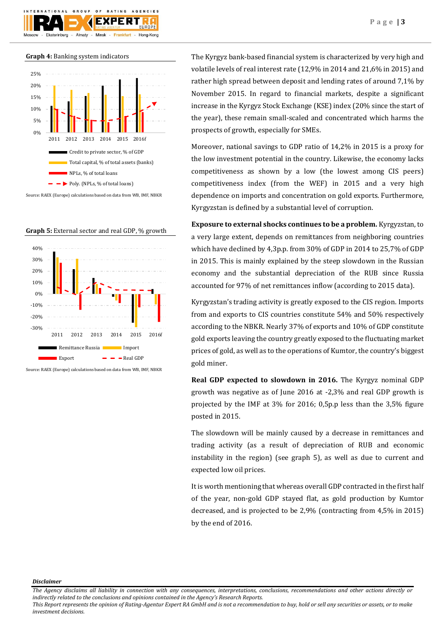Ekaterinburg

GROUP

Almaty -



 $0 F$ 

F X I

Minsk

AGENCIES

Hong-Kong

**Graph 5:** External sector and real GDP, % growth



Source: RAEX (Europe) calculations based on data from WB, IMF, NBKR

The Kyrgyz bank-based financial system is characterized by very high and volatile levels of real interest rate (12,9% in 2014 and 21,6% in 2015) and rather high spread between deposit and lending rates of around 7,1% by November 2015. In regard to financial markets, despite a significant increase in the Kyrgyz Stock Exchange (KSE) index (20% since the start of the year), these remain small-scaled and concentrated which harms the prospects of growth, especially for SMEs.

Moreover, national savings to GDP ratio of 14,2% in 2015 is a proxy for the low investment potential in the country. Likewise, the economy lacks competitiveness as shown by a low (the lowest among CIS peers) competitiveness index (from the WEF) in 2015 and a very high dependence on imports and concentration on gold exports. Furthermore, Kyrgyzstan is defined by a substantial level of corruption.

**Exposure to external shocks continues to be a problem.** Kyrgyzstan, to a very large extent, depends on remittances from neighboring countries which have declined by 4,3p.p. from 30% of GDP in 2014 to 25,7% of GDP in 2015. This is mainly explained by the steep slowdown in the Russian economy and the substantial depreciation of the RUB since Russia accounted for 97% of net remittances inflow (according to 2015 data).

Kyrgyzstan's trading activity is greatly exposed to the CIS region. Imports from and exports to CIS countries constitute 54% and 50% respectively according to the NBKR. Nearly 37% of exports and 10% of GDP constitute gold exports leaving the country greatly exposed to the fluctuating market prices of gold, as well as to the operations of Kumtor, the country's biggest gold miner.

**Real GDP expected to slowdown in 2016.** The Kyrgyz nominal GDP growth was negative as of June 2016 at -2,3% and real GDP growth is projected by the IMF at 3% for 2016; 0,5p.p less than the 3,5% figure posted in 2015.

The slowdown will be mainly caused by a decrease in remittances and trading activity (as a result of depreciation of RUB and economic instability in the region) (see graph 5), as well as due to current and expected low oil prices.

It is worth mentioning that whereas overall GDP contracted in the first half of the year, non-gold GDP stayed flat, as gold production by Kumtor decreased, and is projected to be 2,9% (contracting from 4,5% in 2015) by the end of 2016.

*Disclaimer* 

*The Agency disclaims all liability in connection with any consequences, interpretations, conclusions, recommendations and other actions directly or indirectly related to the conclusions and opinions contained in the Agency's Research Reports.*